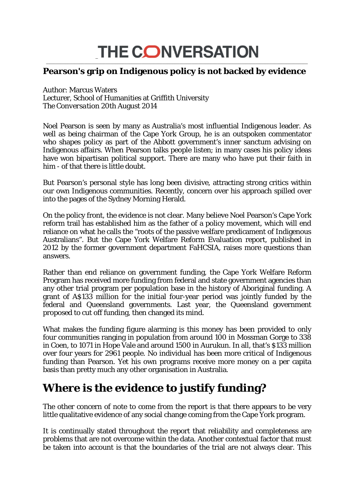## THE CONVERSATION \_\_\_\_\_\_\_\_\_\_\_\_\_\_\_\_\_\_\_\_\_\_\_\_\_\_\_\_\_\_\_\_\_\_\_\_\_\_\_\_\_\_\_\_\_\_\_\_\_\_\_\_\_\_\_\_\_\_\_\_\_\_\_\_\_\_\_\_\_\_\_\_\_\_\_\_\_\_\_\_\_\_\_\_\_\_\_\_\_\_\_\_\_\_\_\_\_\_\_\_\_\_\_\_\_\_\_\_\_\_

## **Pearson's grip on Indigenous policy is not backed by evidence**

Author: Marcus Waters Lecturer, School of Humanities at Griffith University *The Conversation* 20th August 2014

Noel Pearson is seen by many as Australia's most influential Indigenous leader. As well as being chairman of the Cape York Group, he is an outspoken commentator who shapes policy as part of the Abbott government's inner sanctum advising on Indigenous affairs. When Pearson talks people listen; in many cases his policy ideas have won bipartisan political support. There are many who have put their faith in him - of that there is little doubt.

But Pearson's personal style has long been divisive, attracting strong critics within our own Indigenous communities. Recently, concern over his approach spilled over into the pages of the Sydney Morning Herald.

On the policy front, the evidence is not clear. Many believe Noel Pearson's Cape York reform trail has established him as the father of a policy movement, which will end reliance on what he calls the "roots of the passive welfare predicament of Indigenous Australians". But the Cape York Welfare Reform Evaluation report, published in 2012 by the former government department FaHCSIA, raises more questions than answers.

Rather than end reliance on government funding, the Cape York Welfare Reform Program has received more funding from federal and state government agencies than any other trial program per population base in the history of Aboriginal funding. A grant of A\$133 million for the initial four-year period was jointly funded by the federal and Queensland governments. Last year, the Queensland government proposed to cut off funding, then changed its mind.

What makes the funding figure alarming is this money has been provided to only four communities ranging in population from around 100 in Mossman Gorge to 338 in Coen, to 1071 in Hope Vale and around 1500 in Aurukun. In all, that's \$133 million over four years for 2961 people. No individual has been more critical of Indigenous funding than Pearson. Yet his own programs receive more money on a per capita basis than pretty much any other organisation in Australia.

## **Where is the evidence to justify funding?**

The other concern of note to come from the report is that there appears to be very little qualitative evidence of any social change coming from the Cape York program.

It is continually stated throughout the report that reliability and completeness are problems that are not overcome within the data. Another contextual factor that must be taken into account is that the boundaries of the trial are not always clear. This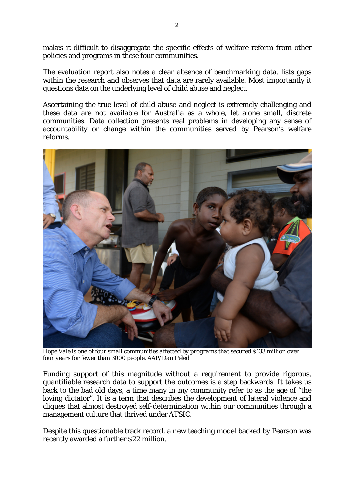makes it difficult to disaggregate the specific effects of welfare reform from other policies and programs in these four communities.

The evaluation report also notes a clear absence of benchmarking data, lists gaps within the research and observes that data are rarely available. Most importantly it questions data on the underlying level of child abuse and neglect.

Ascertaining the true level of child abuse and neglect is extremely challenging and these data are not available for Australia as a whole, let alone small, discrete communities. Data collection presents real problems in developing any sense of accountability or change within the communities served by Pearson's welfare reforms.



*Hope Vale is one of four small communities affected by programs that secured \$133 million over four years for fewer than 3000 people. AAP/Dan Peled*

Funding support of this magnitude without a requirement to provide rigorous, quantifiable research data to support the outcomes is a step backwards. It takes us back to the bad old days, a time many in my community refer to as the age of "the loving dictator". It is a term that describes the development of lateral violence and cliques that almost destroyed self-determination within our communities through a management culture that thrived under ATSIC.

Despite this questionable track record, a new teaching model backed by Pearson was recently awarded a further \$22 million.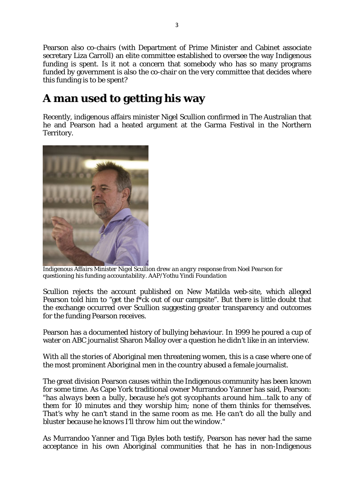Pearson also co-chairs (with Department of Prime Minister and Cabinet associate secretary Liza Carroll) an elite committee established to oversee the way Indigenous funding is spent. Is it not a concern that somebody who has so many programs funded by government is also the co-chair on the very committee that decides where this funding is to be spent?

## **A man used to getting his way**

Recently, indigenous affairs minister Nigel Scullion confirmed in The Australian that he and Pearson had a heated argument at the Garma Festival in the Northern Territory.



*Indigenous Affairs Minister Nigel Scullion drew an angry response from Noel Pearson for questioning his funding accountability. AAP/Yothu Yindi Foundation*

Scullion rejects the account published on New Matilda web-site, which alleged Pearson told him to "get the f\*ck out of our campsite". But there is little doubt that the exchange occurred over Scullion suggesting greater transparency and outcomes for the funding Pearson receives.

Pearson has a documented history of bullying behaviour. In 1999 he poured a cup of water on ABC journalist Sharon Malloy over a question he didn't like in an interview.

With all the stories of Aboriginal men threatening women, this is a case where one of the most prominent Aboriginal men in the country abused a female journalist.

The great division Pearson causes within the Indigenous community has been known for some time. As Cape York traditional owner Murrandoo Yanner has said, Pearson: "*has always been a bully, because he's got sycophants around him...talk to any of them for 10 minutes and they worship him; none of them thinks for themselves. That's why he can't stand in the same room as me. He can't do all the bully and bluster because he knows I'll throw him out the window.*"

As Murrandoo Yanner and Tiga Byles both testify, Pearson has never had the same acceptance in his own Aboriginal communities that he has in non-Indigenous